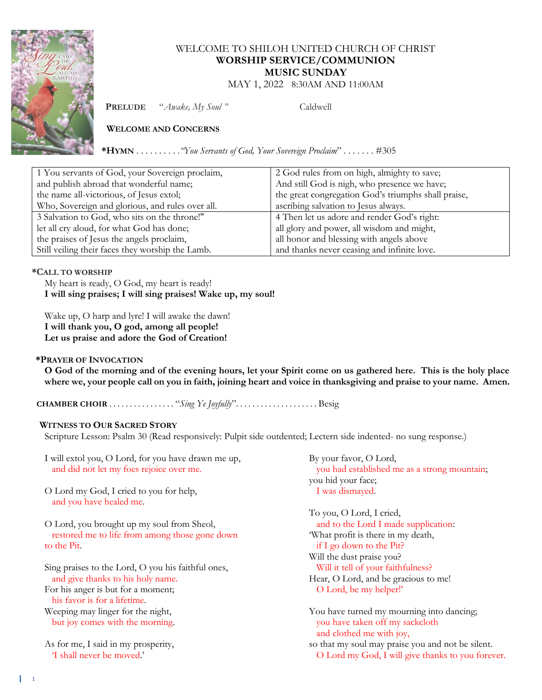

## WELCOME TO SHILOH UNITED CHURCH OF CHRIST **WORSHIP SERVICE/COMMUNION MUSIC SUNDAY**

MAY 1, 2022 8:30AM AND 11:00AM

**PRELUDE** "*Awake, My Soul*" Caldwell

# **WELCOME AND CONCERNS**

**\*HYMN** . . . . . . . . . .*"You Servants of God, Your Sovereign Proclaim*" . . . . . . . #305

| 1 You servants of God, your Sovereign proclaim,  | 2 God rules from on high, almighty to save;         |
|--------------------------------------------------|-----------------------------------------------------|
| and publish abroad that wonderful name;          | And still God is nigh, who presence we have;        |
| the name all-victorious, of Jesus extol;         | the great congregation God's triumphs shall praise, |
| Who, Sovereign and glorious, and rules over all. | ascribing salvation to Jesus always.                |
| 3 Salvation to God, who sits on the throne!"     | 4 Then let us adore and render God's right:         |
| let all cry aloud, for what God has done;        | all glory and power, all wisdom and might,          |
| the praises of Jesus the angels proclaim,        | all honor and blessing with angels above            |
| Still veiling their faces they worship the Lamb. | and thanks never ceasing and infinite love.         |

### **\*CALL TO WORSHIP**

My heart is ready, O God, my heart is ready! **I will sing praises; I will sing praises! Wake up, my soul!**

Wake up, O harp and lyre! I will awake the dawn! **I will thank you, O god, among all people! Let us praise and adore the God of Creation!**

### **\*PRAYER OF INVOCATION**

**O God of the morning and of the evening hours, let your Spirit come on us gathered here. This is the holy place where we, your people call on you in faith, joining heart and voice in thanksgiving and praise to your name. Amen.**

 **CHAMBER CHOIR** . . . . . . . . . . . . . . . . "*Sing Ye Joyfully*". . . . . . . . . . . . . . . . . . . . Besig

### **WITNESS TO OUR SACRED STORY**

Scripture Lesson: Psalm 30 (Read responsively: Pulpit side outdented; Lectern side indented- no sung response.)

| I will extol you, O Lord, for you have drawn me up,                | By your favor, O Lord,                            |
|--------------------------------------------------------------------|---------------------------------------------------|
| and did not let my foes rejoice over me.                           | you had established me as a strong mountain;      |
|                                                                    | you hid your face;                                |
| O Lord my God, I cried to you for help,<br>and you have healed me. | I was dismayed.                                   |
|                                                                    | To you, O Lord, I cried,                          |
| O Lord, you brought up my soul from Sheol,                         | and to the Lord I made supplication:              |
| restored me to life from among those gone down                     | What profit is there in my death,                 |
| to the Pit.                                                        | if I go down to the Pit?                          |
|                                                                    | Will the dust praise you?                         |
| Sing praises to the Lord, O you his faithful ones,                 | Will it tell of your faithfulness?                |
| and give thanks to his holy name.                                  | Hear, O Lord, and be gracious to me!              |
| For his anger is but for a moment;                                 | O Lord, be my helper!'                            |
| his favor is for a lifetime.                                       |                                                   |
| Weeping may linger for the night,                                  | You have turned my mourning into dancing;         |
| but joy comes with the morning.                                    | you have taken off my sackcloth                   |
|                                                                    | and clothed me with joy,                          |
| As for me, I said in my prosperity,                                | so that my soul may praise you and not be silent. |
| T shall never be moved.'                                           | O Lord my God, I will give thanks to you forever. |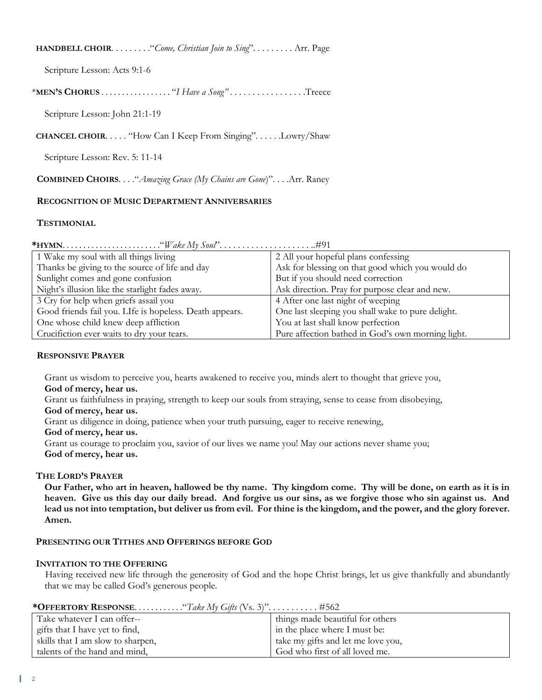**HANDBELL CHOIR**. . . . . . . . ."*Come, Christian Join to Sing*". . . . . . . . . Arr. Page

Scripture Lesson: Acts 9:1-6

\***MEN'S CHORUS** . . . . . . . . . . . . . . . . . "*I Have a Song" . . . . . . . . . . . .* . . . . .Treece

Scripture Lesson: John 21:1-19

 **CHANCEL CHOIR**. . . . . "How Can I Keep From Singing". . . . . .Lowry/Shaw

Scripture Lesson: Rev. 5: 11-14

**COMBINED CHOIRS**. . . ."*Amazing Grace (My Chains are Gone*)". . . .Arr. Raney

### **RECOGNITION OF MUSIC DEPARTMENT ANNIVERSARIES**

### **TESTIMONIAL**

| 1 Wake my soul with all things living                   | 2 All your hopeful plans confessing               |
|---------------------------------------------------------|---------------------------------------------------|
| Thanks be giving to the source of life and day          | Ask for blessing on that good which you would do  |
| Sunlight comes and gone confusion                       | But if you should need correction                 |
| Night's illusion like the starlight fades away.         | Ask direction. Pray for purpose clear and new.    |
| 3 Cry for help when griefs assail you                   | 4 After one last night of weeping                 |
| Good friends fail you. LIfe is hopeless. Death appears. | One last sleeping you shall wake to pure delight. |
| One whose child knew deep affliction                    | You at last shall know perfection                 |
| Crucifiction ever waits to dry your tears.              | Pure affection bathed in God's own morning light. |

### **RESPONSIVE PRAYER**

Grant us wisdom to perceive you, hearts awakened to receive you, minds alert to thought that grieve you,

**God of mercy, hear us.**

Grant us faithfulness in praying, strength to keep our souls from straying, sense to cease from disobeying, **God of mercy, hear us.**

Grant us diligence in doing, patience when your truth pursuing, eager to receive renewing,

**God of mercy, hear us.**

Grant us courage to proclaim you, savior of our lives we name you! May our actions never shame you; **God of mercy, hear us.**

### **THE LORD'S PRAYER**

**Our Father, who art in heaven, hallowed be thy name. Thy kingdom come. Thy will be done, on earth as it is in heaven. Give us this day our daily bread. And forgive us our sins, as we forgive those who sin against us. And lead us not into temptation, but deliver us from evil. For thine is the kingdom, and the power, and the glory forever. Amen.**

### **PRESENTING OUR TITHES AND OFFERINGS BEFORE GOD**

### **INVITATION TO THE OFFERING**

Having received new life through the generosity of God and the hope Christ brings, let us give thankfully and abundantly that we may be called God's generous people.

| <b>*OFFERTORY RESPONSE</b> " Lake My Gifts (Vs. 3)" #562 |                                   |                                    |
|----------------------------------------------------------|-----------------------------------|------------------------------------|
|                                                          | Take whatever I can offer--       | things made beautiful for others   |
|                                                          | gifts that I have yet to find,    | in the place where I must be:      |
|                                                          | skills that I am slow to sharpen, | take my gifts and let me love you, |
|                                                          | talents of the hand and mind,     | God who first of all loved me.     |

**\*OFFERTORY RESPONSE**. . . . . . . . . . . ."*Take My Gifts* (Vs. 3)". . . . . . . . . . . #562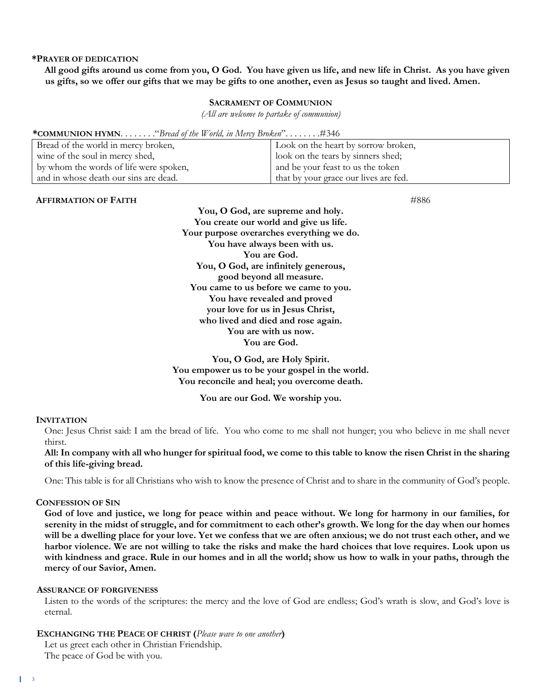### **\*PRAYER OF DEDICATION**

**All good gifts around us come from you, O God. You have given us life, and new life in Christ. As you have given us gifts, so we offer our gifts that we may be gifts to one another, even as Jesus so taught and lived. Amen.**

#### **SACRAMENT OF COMMUNION**

*(All are welcome to partake of communion)*

**\*COMMUNION HYMN**. . . . . . . ."*Bread of the World, in Mercy Broken*". . . . . . . .#346

| Bread of the world in mercy broken,    | Look on the heart by sorrow broken,   |
|----------------------------------------|---------------------------------------|
| wine of the soul in mercy shed,        | look on the tears by sinners shed;    |
| by whom the words of life were spoken, | and be your feast to us the token     |
| and in whose death our sins are dead.  | that by your grace our lives are fed. |

### **AFFIRMATION OF FAITH** #886

**You, O God, are supreme and holy. You create our world and give us life. Your purpose overarches everything we do. You have always been with us. You are God. You, O God, are infinitely generous, good beyond all measure. You came to us before we came to you. You have revealed and proved your love for us in Jesus Christ, who lived and died and rose again. You are with us now. You are God.**

**You, O God, are Holy Spirit. You empower us to be your gospel in the world. You reconcile and heal; you overcome death.**

**You are our God. We worship you.**

#### **INVITATION**

One: Jesus Christ said: I am the bread of life. You who come to me shall not hunger; you who believe in me shall never thirst.

**All: In company with all who hunger for spiritual food, we come to this table to know the risen Christ in the sharing of this life-giving bread.**

One: This table is for all Christians who wish to know the presence of Christ and to share in the community of God's people.

#### **CONFESSION OF SIN**

**God of love and justice, we long for peace within and peace without. We long for harmony in our families, for serenity in the midst of struggle, and for commitment to each other's growth. We long for the day when our homes will be a dwelling place for your love. Yet we confess that we are often anxious; we do not trust each other, and we harbor violence. We are not willing to take the risks and make the hard choices that love requires. Look upon us with kindness and grace. Rule in our homes and in all the world; show us how to walk in your paths, through the mercy of our Savior, Amen.**

#### **ASSURANCE OF FORGIVENESS**

Listen to the words of the scriptures: the mercy and the love of God are endless; God's wrath is slow, and God's love is eternal.

 **EXCHANGING THE PEACE OF CHRIST (***Please wave to one another***)**

Let us greet each other in Christian Friendship. The peace of God be with you.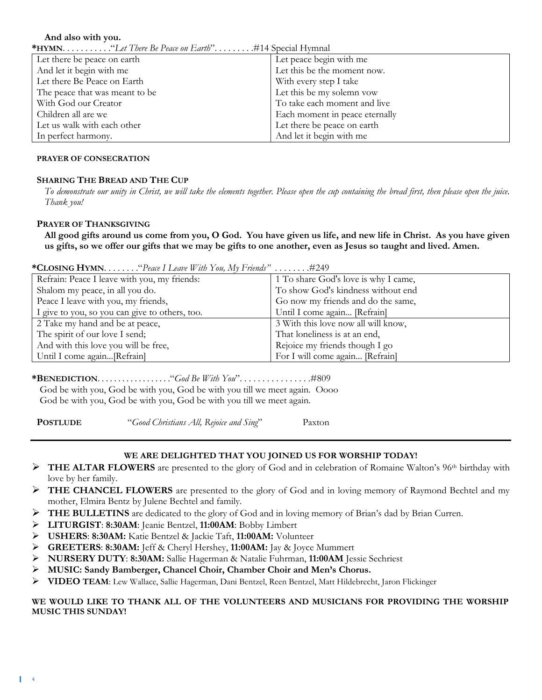**And also with you.**

| <b>*HYMN.</b> "Let There Be Peace on Earth". #14 Special Hymnal |                                |  |
|-----------------------------------------------------------------|--------------------------------|--|
| Let there be peace on earth                                     | Let peace begin with me        |  |
| And let it begin with me                                        | Let this be the moment now.    |  |
| Let there Be Peace on Earth                                     | With every step I take         |  |
| The peace that was meant to be                                  | Let this be my solemn vow      |  |
| With God our Creator                                            | To take each moment and live   |  |
| Children all are we                                             | Each moment in peace eternally |  |
| Let us walk with each other                                     | Let there be peace on earth    |  |
| In perfect harmony.                                             | And let it begin with me       |  |

#### **PRAYER OF CONSECRATION**

#### **SHARING THE BREAD AND THE CUP**

*To demonstrate our unity in Christ, we will take the elements together. Please open the cup containing the bread first, then please open the juice. Thank you!*

### **PRAYER OF THANKSGIVING**

**All good gifts around us come from you, O God. You have given us life, and new life in Christ. As you have given us gifts, so we offer our gifts that we may be gifts to one another, even as Jesus so taught and lived. Amen.**

| Refrain: Peace I leave with you, my friends:   | 1 To share God's love is why I came, |  |
|------------------------------------------------|--------------------------------------|--|
| Shalom my peace, in all you do.                | To show God's kindness without end   |  |
| Peace I leave with you, my friends,            | Go now my friends and do the same,   |  |
| I give to you, so you can give to others, too. | Until I come again [Refrain]         |  |
| 2 Take my hand and be at peace,                | 3 With this love now all will know,  |  |
| The spirit of our love I send;                 | That loneliness is at an end,        |  |
| And with this love you will be free,           | Rejoice my friends though I go       |  |
| Until I come again[Refrain]                    | For I will come again [Refrain]      |  |

**\*CLOSING HYMN**. . . . . . . ."*Peace I Leave With You, My Friends"* . . . . . . . .#249

**\*BENEDICTION**. . . . . . . . . . . . . . . . . ."*God Be With You*". . . . . . . . . . . . . . . .#809 God be with you, God be with you, God be with you till we meet again. Oooo God be with you, God be with you, God be with you till we meet again.

**POSTLUDE** "*Good Christians All, Rejoice and Sing*" Paxton

### **WE ARE DELIGHTED THAT YOU JOINED US FOR WORSHIP TODAY!**

- ➢ **THE ALTAR FLOWERS** are presented to the glory of God and in celebration of Romaine Walton's 96th birthday with love by her family.
- ➢ **THE CHANCEL FLOWERS** are presented to the glory of God and in loving memory of Raymond Bechtel and my mother, Elmira Bentz by Julene Bechtel and family.
- ➢ **THE BULLETINS** are dedicated to the glory of God and in loving memory of Brian's dad by Brian Curren.
- ➢ **LITURGIST**: **8:30AM**: Jeanie Bentzel, **11:00AM**: Bobby Limbert
- ➢ **USHERS**: **8:30AM:** Katie Bentzel & Jackie Taft, **11:00AM:** Volunteer
- ➢ **GREETERS**: **8:30AM:** Jeff & Cheryl Hershey, **11:00AM:** Jay & Joyce Mummert
- ➢ **NURSERY DUTY**: **8:30AM:** Sallie Hagerman & Natalie Fuhrman, **11:00AM** Jessie Sechriest
- ➢ **MUSIC: Sandy Bamberger, Chancel Choir, Chamber Choir and Men's Chorus.**
- ➢ **VIDEO TEAM**: Lew Wallace, Sallie Hagerman, Dani Bentzel, Reen Bentzel, Matt Hildebrecht, Jaron Flickinger

#### **WE WOULD LIKE TO THANK ALL OF THE VOLUNTEERS AND MUSICIANS FOR PROVIDING THE WORSHIP MUSIC THIS SUNDAY!**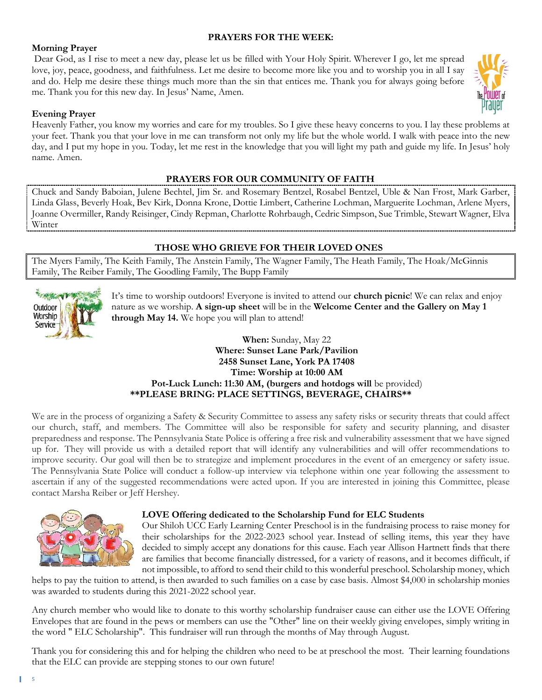## **PRAYERS FOR THE WEEK:**

# **Morning Prayer**

Dear God, as I rise to meet a new day, please let us be filled with Your Holy Spirit. Wherever I go, let me spread love, joy, peace, goodness, and faithfulness. Let me desire to become more like you and to worship you in all I say and do. Help me desire these things much more than the sin that entices me. Thank you for always going before me. Thank you for this new day. In Jesus' Name, Amen.



# **Evening Prayer**

Heavenly Father, you know my worries and care for my troubles. So I give these heavy concerns to you. I lay these problems at your feet. Thank you that your love in me can transform not only my life but the whole world. I walk with peace into the new day, and I put my hope in you. Today, let me rest in the knowledge that you will light my path and guide my life. In Jesus' holy name. Amen.

## **PRAYERS FOR OUR COMMUNITY OF FAITH**

Chuck and Sandy Baboian, Julene Bechtel, Jim Sr. and Rosemary Bentzel, Rosabel Bentzel, Uble & Nan Frost, Mark Garber, Linda Glass, Beverly Hoak, Bev Kirk, Donna Krone, Dottie Limbert, Catherine Lochman, Marguerite Lochman, Arlene Myers, Joanne Overmiller, Randy Reisinger, Cindy Repman, Charlotte Rohrbaugh, Cedric Simpson, Sue Trimble, Stewart Wagner, Elva Winter

# **THOSE WHO GRIEVE FOR THEIR LOVED ONES**

The Myers Family, The Keith Family, The Anstein Family, The Wagner Family, The Heath Family, The Hoak/McGinnis Family, The Reiber Family, The Goodling Family, The Bupp Family



It's time to worship outdoors! Everyone is invited to attend our **church picnic**! We can relax and enjoy nature as we worship. **A sign-up sheet** will be in the **Welcome Center and the Gallery on May 1 through May 14.** We hope you will plan to attend!

### **When:** Sunday, May 22 **Where: Sunset Lane Park/Pavilion 2458 Sunset Lane, York PA 17408 Time: Worship at 10:00 AM Pot-Luck Lunch: 11:30 AM, (burgers and hotdogs will** be provided) **\*\*PLEASE BRING: PLACE SETTINGS, BEVERAGE, CHAIRS\*\***

We are in the process of organizing a Safety & Security Committee to assess any safety risks or security threats that could affect our church, staff, and members. The Committee will also be responsible for safety and security planning, and disaster preparedness and response. The Pennsylvania State Police is offering a free risk and vulnerability assessment that we have signed up for. They will provide us with a detailed report that will identify any vulnerabilities and will offer recommendations to improve security. Our goal will then be to strategize and implement procedures in the event of an emergency or safety issue. The Pennsylvania State Police will conduct a follow-up interview via telephone within one year following the assessment to ascertain if any of the suggested recommendations were acted upon. If you are interested in joining this Committee, please contact Marsha Reiber or Jeff Hershey.



# **LOVE Offering dedicated to the Scholarship Fund for ELC Students**

Our Shiloh UCC Early Learning Center Preschool is in the fundraising process to raise money for their scholarships for the 2022-2023 school year. Instead of selling items, this year they have decided to simply accept any donations for this cause. Each year Allison Hartnett finds that there are families that become financially distressed, for a variety of reasons, and it becomes difficult, if not impossible, to afford to send their child to this wonderful preschool. Scholarship money, which

helps to pay the tuition to attend, is then awarded to such families on a case by case basis. Almost \$4,000 in scholarship monies was awarded to students during this 2021-2022 school year.

Any church member who would like to donate to this worthy scholarship fundraiser cause can either use the LOVE Offering Envelopes that are found in the pews or members can use the "Other" line on their weekly giving envelopes, simply writing in the word " ELC Scholarship". This fundraiser will run through the months of May through August.

Thank you for considering this and for helping the children who need to be at preschool the most. Their learning foundations that the ELC can provide are stepping stones to our own future!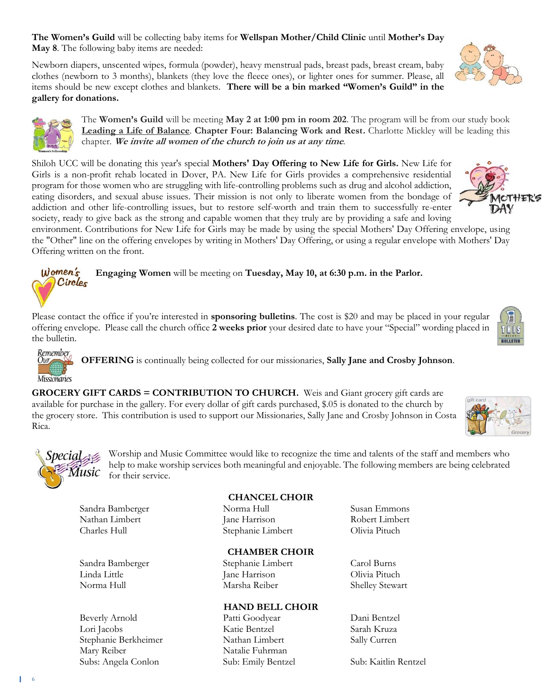**The Women's Guild** will be collecting baby items for **Wellspan Mother/Child Clinic** until **Mother's Day May 8**. The following baby items are needed:

Newborn diapers, unscented wipes, formula (powder), heavy menstrual pads, breast pads, breast cream, baby clothes (newborn to 3 months), blankets (they love the fleece ones), or lighter ones for summer. Please, all items should be new except clothes and blankets. **There will be a bin marked "Women's Guild" in the gallery for donations.**

Our.

pecial

Music

The **Women's Guild** will be meeting **May 2 at 1:00 pm in room 202**. The program will be from our study book **Leading a Life of Balance**. **Chapter Four: Balancing Work and Rest.** Charlotte Mickley will be leading this chapter*.* **We invite all women of the church to join us at any time***.*

Shiloh UCC will be donating this year's special **Mothers' Day Offering to New Life for Girls.** New Life for Girls is a non-profit rehab located in Dover, PA. New Life for Girls provides a comprehensive residential program for those women who are struggling with life-controlling problems such as drug and alcohol addiction, eating disorders, and sexual abuse issues. Their mission is not only to liberate women from the bondage of addiction and other life-controlling issues, but to restore self-worth and train them to successfully re-enter society, ready to give back as the strong and capable women that they truly are by providing a safe and loving

environment. Contributions for New Life for Girls may be made by using the special Mothers' Day Offering envelope, using the "Other" line on the offering envelopes by writing in Mothers' Day Offering, or using a regular envelope with Mothers' Day Offering written on the front.

 $Women's$ **Engaging Women** will be meeting on **Tuesday, May 10, at 6:30 p.m. in the Parlor.** Circles

Please contact the office if you're interested in **sponsoring bulletins**. The cost is \$20 and may be placed in your regular offering envelope. Please call the church office **2 weeks prior** your desired date to have your "Special" wording placed in the bulletin.

Remember **OFFERING** is continually being collected for our missionaries, **Sally Jane and Crosby Johnson**. **Missionaries** 

**GROCERY GIFT CARDS = CONTRIBUTION TO CHURCH.** Weis and Giant grocery gift cards are available for purchase in the gallery. For every dollar of gift cards purchased, \$.05 is donated to the church by the grocery store. This contribution is used to support our Missionaries, Sally Jane and Crosby Johnson in Costa Rica.

> Worship and Music Committee would like to recognize the time and talents of the staff and members who help to make worship services both meaningful and enjoyable. The following members are being celebrated for their service.

Beverly Arnold Patti Goodyear Dani Bentzel Lori Jacobs Katie Bentzel Sarah Kruza Stephanie Berkheimer Nathan Limbert Sally Curren Mary Reiber Natalie Fuhrman Subs: Angela Conlon Sub: Emily Bentzel Sub: Kaitlin Rentzel

# **CHANCEL CHOIR**

Sandra Bamberger Norma Hull Susan Emmons Nathan Limbert Jane Harrison Robert Limbert Charles Hull Stephanie Limbert Olivia Pituch

# **CHAMBER CHOIR**

Sandra Bamberger Stephanie Limbert Carol Burns Linda Little Jane Harrison Olivia Pituch Norma Hull Marsha Reiber Shelley Stewart

# **HAND BELL CHOIR**